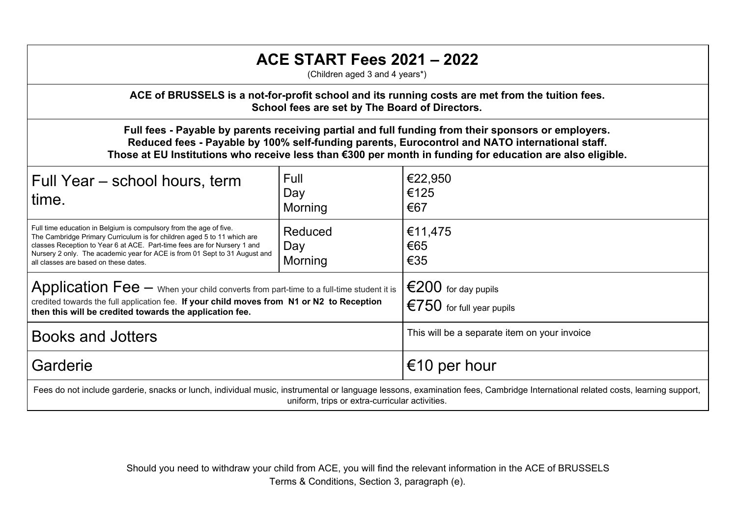## **ACE START Fees 2021 – 2022**

(Children aged 3 and 4 years\*)

**ACE of BRUSSELS is a not-for-profit school and its running costs are met from the tuition fees. School fees are set by The Board of Directors.**

**Full fees - Payable by parents receiving partial and full funding from their sponsors or employers. Reduced fees - Payable by 100% self-funding parents, Eurocontrol and NATO international staff. Those at EU Institutions who receive less than €300 per month in funding for education are also eligible.**

| Full Year – school hours, term<br>time.                                                                                                                                                                                                                                                                                                          | Full<br>Day<br>Morning    | €22,950<br>€125<br>€67                                                |  |  |
|--------------------------------------------------------------------------------------------------------------------------------------------------------------------------------------------------------------------------------------------------------------------------------------------------------------------------------------------------|---------------------------|-----------------------------------------------------------------------|--|--|
| Full time education in Belgium is compulsory from the age of five.<br>The Cambridge Primary Curriculum is for children aged 5 to 11 which are<br>classes Reception to Year 6 at ACE. Part-time fees are for Nursery 1 and<br>Nursery 2 only. The academic year for ACE is from 01 Sept to 31 August and<br>all classes are based on these dates. | Reduced<br>Day<br>Morning | €11,475<br>€65<br>€35                                                 |  |  |
| Application Fee - When your child converts from part-time to a full-time student it is<br>credited towards the full application fee. If your child moves from N1 or N2 to Reception<br>then this will be credited towards the application fee.                                                                                                   |                           | €200 for day pupils<br>$\epsilon$ $\epsilon$ 750 for full year pupils |  |  |
| Books and Jotters                                                                                                                                                                                                                                                                                                                                |                           | This will be a separate item on your invoice                          |  |  |
| Garderie                                                                                                                                                                                                                                                                                                                                         |                           | €10 per hour                                                          |  |  |
| Fees do not include garderie, snacks or lunch, individual music, instrumental or language lessons, examination fees, Cambridge International related costs, learning support,                                                                                                                                                                    |                           |                                                                       |  |  |

uniform, trips or extra-curricular activities.

Should you need to withdraw your child from ACE, you will find the relevant information in the ACE of BRUSSELS Terms & Conditions, Section 3, paragraph (e).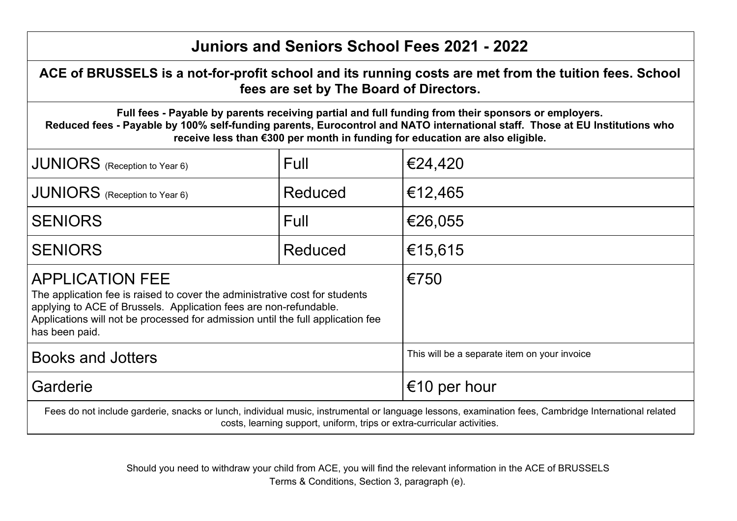## **Juniors and Seniors School Fees 2021 - 2022**

**ACE of BRUSSELS is a not-for-profit school and its running costs are met from the tuition fees. School fees are set by The Board of Directors.**

**Full fees - Payable by parents receiving partial and full funding from their sponsors or employers. Reduced fees - Payable by 100% self-funding parents, Eurocontrol and NATO international staff. Those at EU Institutions who receive less than €300 per month in funding for education are also eligible.**

| JUNIORS (Reception to Year 6)                                                                                                                                                                                                                                                   | Full    | €24,420                                      |  |  |
|---------------------------------------------------------------------------------------------------------------------------------------------------------------------------------------------------------------------------------------------------------------------------------|---------|----------------------------------------------|--|--|
| $\vert$ JUNIORS (Reception to Year 6)                                                                                                                                                                                                                                           | Reduced | €12,465                                      |  |  |
| <b>SENIORS</b>                                                                                                                                                                                                                                                                  | Full    | €26,055                                      |  |  |
| <b>SENIORS</b>                                                                                                                                                                                                                                                                  | Reduced | €15,615                                      |  |  |
| <b>APPLICATION FEE</b><br>The application fee is raised to cover the administrative cost for students<br>applying to ACE of Brussels. Application fees are non-refundable.<br>Applications will not be processed for admission until the full application fee<br>has been paid. |         | €750                                         |  |  |
| Books and Jotters                                                                                                                                                                                                                                                               |         | This will be a separate item on your invoice |  |  |
| Garderie                                                                                                                                                                                                                                                                        |         | €10 per hour                                 |  |  |
| Fees do not include garderie, snacks or lunch, individual music, instrumental or language lessons, examination fees, Cambridge International related<br>costs, learning support, uniform, trips or extra-curricular activities.                                                 |         |                                              |  |  |

Should you need to withdraw your child from ACE, you will find the relevant information in the ACE of BRUSSELS Terms & Conditions, Section 3, paragraph (e).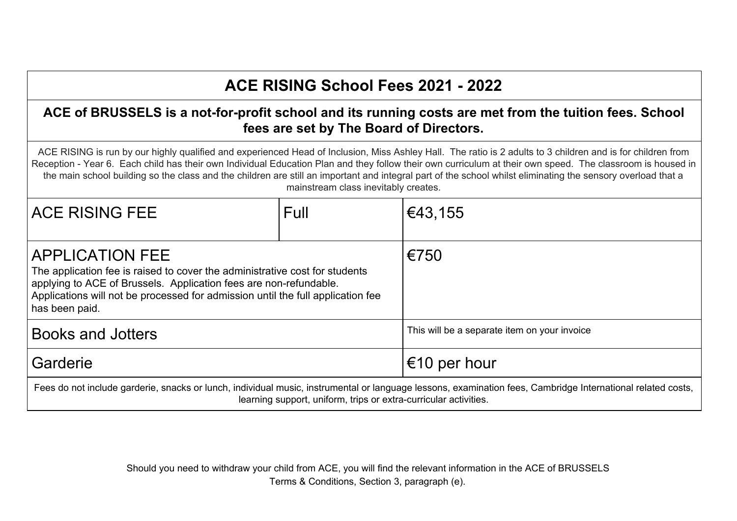# **ACE RISING School Fees 2021 - 2022**

#### **ACE of BRUSSELS is a not-for-profit school and its running costs are met from the tuition fees. School fees are set by The Board of Directors.**

ACE RISING is run by our highly qualified and experienced Head of Inclusion, Miss Ashley Hall. The ratio is 2 adults to 3 children and is for children from Reception - Year 6. Each child has their own Individual Education Plan and they follow their own curriculum at their own speed. The classroom is housed in the main school building so the class and the children are still an important and integral part of the school whilst eliminating the sensory overload that a mainstream class inevitably creates.

| <b>ACE RISING FEE</b>                                                                                                                                                                                                                                                           | Full | €43,155                                      |  |  |
|---------------------------------------------------------------------------------------------------------------------------------------------------------------------------------------------------------------------------------------------------------------------------------|------|----------------------------------------------|--|--|
| <b>APPLICATION FEE</b><br>The application fee is raised to cover the administrative cost for students<br>applying to ACE of Brussels. Application fees are non-refundable.<br>Applications will not be processed for admission until the full application fee<br>has been paid. |      | €750                                         |  |  |
| Books and Jotters                                                                                                                                                                                                                                                               |      | This will be a separate item on your invoice |  |  |
| Garderie                                                                                                                                                                                                                                                                        |      | €10 per hour                                 |  |  |
| Fees do not include garderie, snacks or lunch, individual music, instrumental or language lessons, examination fees, Cambridge International related costs,<br>learning support, uniform, trips or extra-curricular activities.                                                 |      |                                              |  |  |

Should you need to withdraw your child from ACE, you will find the relevant information in the ACE of BRUSSELS Terms & Conditions, Section 3, paragraph (e).